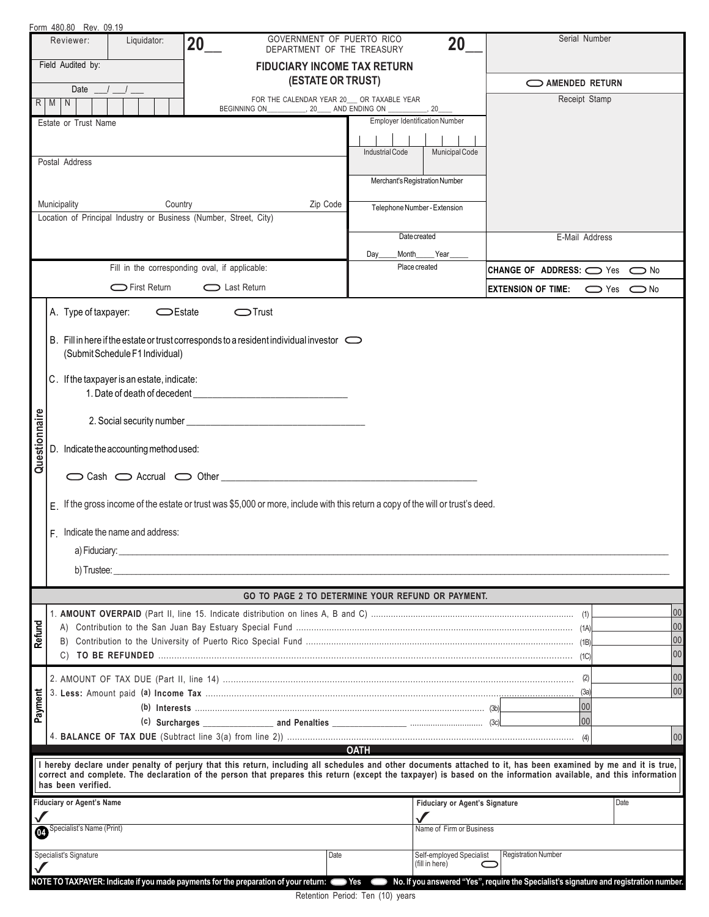|                                                                                                                                                                                        |                                   | Form 480.80 Rev. 09.19                                                                                                                                                                                                         |                                                |                  |                                                         |                                       |                                                                                                                                                                 |                              |  |  |  |
|----------------------------------------------------------------------------------------------------------------------------------------------------------------------------------------|-----------------------------------|--------------------------------------------------------------------------------------------------------------------------------------------------------------------------------------------------------------------------------|------------------------------------------------|------------------|---------------------------------------------------------|---------------------------------------|-----------------------------------------------------------------------------------------------------------------------------------------------------------------|------------------------------|--|--|--|
|                                                                                                                                                                                        | Reviewer:                         | Liquidator:                                                                                                                                                                                                                    | 20                                             |                  | GOVERNMENT OF PUERTO RICO<br>DEPARTMENT OF THE TREASURY | 20                                    | Serial Number                                                                                                                                                   |                              |  |  |  |
|                                                                                                                                                                                        | Field Audited by:                 |                                                                                                                                                                                                                                |                                                |                  | <b>FIDUCIARY INCOME TAX RETURN</b>                      |                                       |                                                                                                                                                                 |                              |  |  |  |
|                                                                                                                                                                                        |                                   | Date $\frac{1}{\sqrt{2}}$                                                                                                                                                                                                      |                                                |                  | <b>(ESTATE OR TRUST)</b>                                |                                       | AMENDED RETURN                                                                                                                                                  |                              |  |  |  |
|                                                                                                                                                                                        | R   M   N                         |                                                                                                                                                                                                                                | <b>BEGINNING ON</b>                            |                  | FOR THE CALENDAR YEAR 20_ OR TAXABLE YEAR               |                                       | Receipt Stamp                                                                                                                                                   |                              |  |  |  |
|                                                                                                                                                                                        | Estate or Trust Name              |                                                                                                                                                                                                                                |                                                |                  |                                                         | <b>Employer Identification Number</b> |                                                                                                                                                                 |                              |  |  |  |
|                                                                                                                                                                                        |                                   |                                                                                                                                                                                                                                |                                                |                  |                                                         |                                       |                                                                                                                                                                 |                              |  |  |  |
|                                                                                                                                                                                        |                                   |                                                                                                                                                                                                                                |                                                |                  | <b>Industrial Code</b>                                  | Municipal Code                        |                                                                                                                                                                 |                              |  |  |  |
|                                                                                                                                                                                        | Postal Address                    |                                                                                                                                                                                                                                |                                                |                  |                                                         |                                       |                                                                                                                                                                 |                              |  |  |  |
|                                                                                                                                                                                        |                                   |                                                                                                                                                                                                                                |                                                |                  |                                                         | Merchant's Registration Number        |                                                                                                                                                                 |                              |  |  |  |
|                                                                                                                                                                                        | Municipality                      |                                                                                                                                                                                                                                | Country                                        | Zip Code         |                                                         | Telephone Number - Extension          |                                                                                                                                                                 |                              |  |  |  |
|                                                                                                                                                                                        |                                   | Location of Principal Industry or Business (Number, Street, City)                                                                                                                                                              |                                                |                  |                                                         |                                       |                                                                                                                                                                 |                              |  |  |  |
|                                                                                                                                                                                        |                                   |                                                                                                                                                                                                                                |                                                |                  |                                                         | Date created                          | E-Mail Address                                                                                                                                                  |                              |  |  |  |
|                                                                                                                                                                                        |                                   |                                                                                                                                                                                                                                |                                                |                  | Day                                                     | Month_____Year                        |                                                                                                                                                                 |                              |  |  |  |
|                                                                                                                                                                                        |                                   |                                                                                                                                                                                                                                | Fill in the corresponding oval, if applicable: |                  |                                                         | Place created                         | CHANGE OF ADDRESS: ○ Yes ○ No                                                                                                                                   |                              |  |  |  |
|                                                                                                                                                                                        |                                   |                                                                                                                                                                                                                                |                                                |                  |                                                         |                                       |                                                                                                                                                                 |                              |  |  |  |
|                                                                                                                                                                                        |                                   | First Return                                                                                                                                                                                                                   | Last Return                                    |                  |                                                         |                                       | <b>EXTENSION OF TIME:</b>                                                                                                                                       | $\bigcirc$ Yes $\bigcirc$ No |  |  |  |
|                                                                                                                                                                                        |                                   | A. Type of taxpayer:<br>$C$ Estate                                                                                                                                                                                             |                                                | $\bigcirc$ Trust |                                                         |                                       |                                                                                                                                                                 |                              |  |  |  |
|                                                                                                                                                                                        |                                   |                                                                                                                                                                                                                                |                                                |                  |                                                         |                                       |                                                                                                                                                                 |                              |  |  |  |
|                                                                                                                                                                                        |                                   | B. Fill in here if the estate or trust corresponds to a resident individual investor $\bigcirc$                                                                                                                                |                                                |                  |                                                         |                                       |                                                                                                                                                                 |                              |  |  |  |
|                                                                                                                                                                                        |                                   | (Submit Schedule F1 Individual)                                                                                                                                                                                                |                                                |                  |                                                         |                                       |                                                                                                                                                                 |                              |  |  |  |
|                                                                                                                                                                                        |                                   | C. If the taxpayer is an estate, indicate:                                                                                                                                                                                     |                                                |                  |                                                         |                                       |                                                                                                                                                                 |                              |  |  |  |
|                                                                                                                                                                                        |                                   | 1. Date of death of decedent                                                                                                                                                                                                   |                                                |                  |                                                         |                                       |                                                                                                                                                                 |                              |  |  |  |
|                                                                                                                                                                                        |                                   |                                                                                                                                                                                                                                |                                                |                  |                                                         |                                       |                                                                                                                                                                 |                              |  |  |  |
| Questionnaire                                                                                                                                                                          |                                   |                                                                                                                                                                                                                                |                                                |                  |                                                         |                                       |                                                                                                                                                                 |                              |  |  |  |
|                                                                                                                                                                                        |                                   | D. Indicate the accounting method used:                                                                                                                                                                                        |                                                |                  |                                                         |                                       |                                                                                                                                                                 |                              |  |  |  |
|                                                                                                                                                                                        |                                   |                                                                                                                                                                                                                                |                                                |                  |                                                         |                                       |                                                                                                                                                                 |                              |  |  |  |
|                                                                                                                                                                                        |                                   | $\bigcirc$ Cash $\bigcirc$ Accrual $\bigcirc$ Other                                                                                                                                                                            |                                                |                  |                                                         |                                       |                                                                                                                                                                 |                              |  |  |  |
|                                                                                                                                                                                        |                                   | E If the gross income of the estate or trust was \$5,000 or more, include with this return a copy of the will or trust's deed.                                                                                                 |                                                |                  |                                                         |                                       |                                                                                                                                                                 |                              |  |  |  |
|                                                                                                                                                                                        |                                   |                                                                                                                                                                                                                                |                                                |                  |                                                         |                                       |                                                                                                                                                                 |                              |  |  |  |
|                                                                                                                                                                                        | F. Indicate the name and address: |                                                                                                                                                                                                                                |                                                |                  |                                                         |                                       |                                                                                                                                                                 |                              |  |  |  |
|                                                                                                                                                                                        |                                   | a) Fiduciary:                                                                                                                                                                                                                  |                                                |                  |                                                         |                                       |                                                                                                                                                                 |                              |  |  |  |
|                                                                                                                                                                                        |                                   |                                                                                                                                                                                                                                |                                                |                  |                                                         |                                       |                                                                                                                                                                 |                              |  |  |  |
|                                                                                                                                                                                        |                                   | b) Trustee: the contract of the contract of the contract of the contract of the contract of the contract of the contract of the contract of the contract of the contract of the contract of the contract of the contract of th |                                                |                  |                                                         |                                       |                                                                                                                                                                 |                              |  |  |  |
| GO TO PAGE 2 TO DETERMINE YOUR REFUND OR PAYMENT.                                                                                                                                      |                                   |                                                                                                                                                                                                                                |                                                |                  |                                                         |                                       |                                                                                                                                                                 |                              |  |  |  |
|                                                                                                                                                                                        |                                   |                                                                                                                                                                                                                                |                                                |                  |                                                         |                                       |                                                                                                                                                                 | 00                           |  |  |  |
| Refund                                                                                                                                                                                 |                                   |                                                                                                                                                                                                                                |                                                |                  |                                                         |                                       |                                                                                                                                                                 | 00                           |  |  |  |
|                                                                                                                                                                                        |                                   |                                                                                                                                                                                                                                |                                                |                  |                                                         |                                       |                                                                                                                                                                 | 00                           |  |  |  |
|                                                                                                                                                                                        |                                   |                                                                                                                                                                                                                                |                                                |                  |                                                         |                                       |                                                                                                                                                                 | 100                          |  |  |  |
|                                                                                                                                                                                        |                                   |                                                                                                                                                                                                                                |                                                |                  |                                                         |                                       | (2)                                                                                                                                                             | 00                           |  |  |  |
|                                                                                                                                                                                        |                                   |                                                                                                                                                                                                                                |                                                |                  |                                                         |                                       | (3a)                                                                                                                                                            | 00                           |  |  |  |
| Payment                                                                                                                                                                                |                                   |                                                                                                                                                                                                                                |                                                |                  |                                                         |                                       | 00                                                                                                                                                              |                              |  |  |  |
|                                                                                                                                                                                        |                                   |                                                                                                                                                                                                                                | 00                                             |                  |                                                         |                                       |                                                                                                                                                                 |                              |  |  |  |
|                                                                                                                                                                                        |                                   |                                                                                                                                                                                                                                |                                                |                  |                                                         |                                       | (4)                                                                                                                                                             | 00                           |  |  |  |
|                                                                                                                                                                                        |                                   |                                                                                                                                                                                                                                |                                                |                  | <b>OATH</b>                                             |                                       | I hereby declare under penalty of perjury that this return, including all schedules and other documents attached to it, has been examined by me and it is true, |                              |  |  |  |
|                                                                                                                                                                                        |                                   |                                                                                                                                                                                                                                |                                                |                  |                                                         |                                       | correct and complete. The declaration of the person that prepares this return (except the taxpayer) is based on the information available, and this information |                              |  |  |  |
|                                                                                                                                                                                        | has been verified.                |                                                                                                                                                                                                                                |                                                |                  |                                                         |                                       |                                                                                                                                                                 |                              |  |  |  |
|                                                                                                                                                                                        |                                   | <b>Fiduciary or Agent's Name</b>                                                                                                                                                                                               |                                                |                  |                                                         | <b>Fiduciary or Agent's Signature</b> |                                                                                                                                                                 | Date                         |  |  |  |
| Specialist's Name (Print)<br>$\boldsymbol{\Omega}$                                                                                                                                     |                                   |                                                                                                                                                                                                                                |                                                |                  |                                                         | Name of Firm or Business              |                                                                                                                                                                 |                              |  |  |  |
|                                                                                                                                                                                        |                                   |                                                                                                                                                                                                                                |                                                |                  |                                                         |                                       |                                                                                                                                                                 |                              |  |  |  |
| Specialist's Signature<br><b>Registration Number</b><br>Date<br>Self-employed Specialist<br>(fill in here)                                                                             |                                   |                                                                                                                                                                                                                                |                                                |                  |                                                         |                                       |                                                                                                                                                                 |                              |  |  |  |
| No. If you answered "Yes", require the Specialist's signature and registration number.<br>NOTE TO TAXPAYER: Indicate if you made payments for the preparation of your return:<br>D Yes |                                   |                                                                                                                                                                                                                                |                                                |                  |                                                         |                                       |                                                                                                                                                                 |                              |  |  |  |
|                                                                                                                                                                                        |                                   |                                                                                                                                                                                                                                |                                                |                  |                                                         |                                       |                                                                                                                                                                 |                              |  |  |  |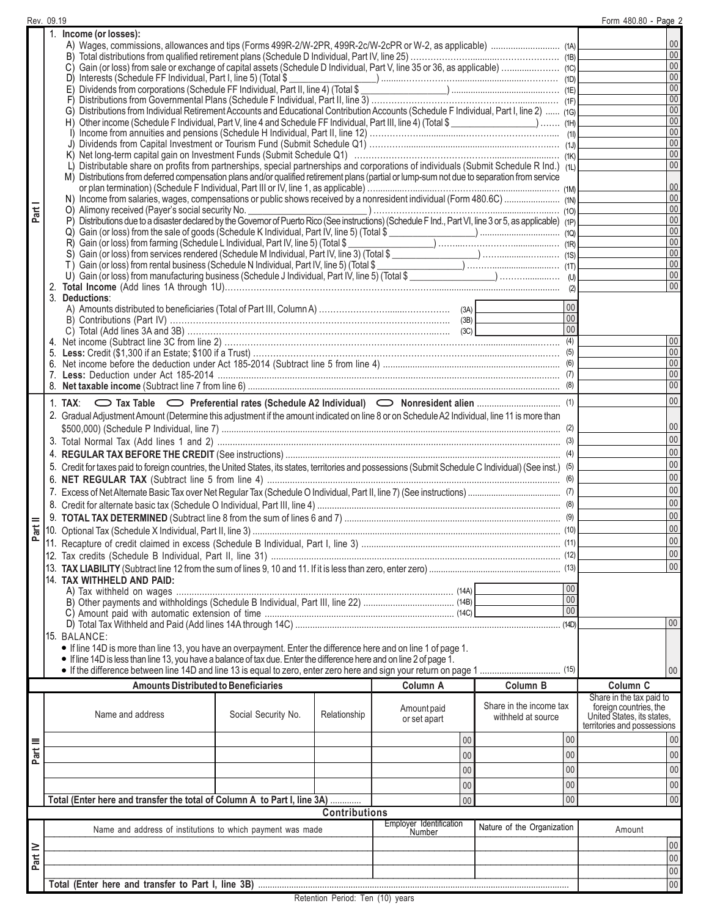|          | Rev. 09.19                                                                                                                                                                                                                           |                                                       |                      |                |                         | Form 480.80 - Page 2                                 |  |  |  |
|----------|--------------------------------------------------------------------------------------------------------------------------------------------------------------------------------------------------------------------------------------|-------------------------------------------------------|----------------------|----------------|-------------------------|------------------------------------------------------|--|--|--|
|          | 1. Income (or losses):                                                                                                                                                                                                               |                                                       |                      |                |                         |                                                      |  |  |  |
|          |                                                                                                                                                                                                                                      | $00\,$                                                |                      |                |                         |                                                      |  |  |  |
|          |                                                                                                                                                                                                                                      | $00\,$                                                |                      |                |                         |                                                      |  |  |  |
|          |                                                                                                                                                                                                                                      | $00\,$                                                |                      |                |                         |                                                      |  |  |  |
|          |                                                                                                                                                                                                                                      |                                                       |                      |                |                         | $00\,$                                               |  |  |  |
|          |                                                                                                                                                                                                                                      |                                                       |                      |                |                         | 00                                                   |  |  |  |
|          | D) Interests (Schedule FF Individual, Part I, line 5) (Total \$<br>E) Dividends from corporations (Schedule FF Individual, Part II, line 4) (Total \$<br>F) Distributions from Governmental Plans (Schedule F Individual, Part II, l |                                                       |                      |                |                         | 00                                                   |  |  |  |
|          |                                                                                                                                                                                                                                      |                                                       |                      |                |                         |                                                      |  |  |  |
|          | G) Distributions from Individual Retirement Accounts and Educational Contribution Accounts (Schedule F Individual, Part I, line 2)  (19)                                                                                             |                                                       |                      |                |                         | 00                                                   |  |  |  |
|          | H) Other income (Schedule F Individual, Part V, line 4 and Schedule FF Individual, Part III, line 4) (Total \$                                                                                                                       |                                                       |                      |                |                         | 00                                                   |  |  |  |
|          |                                                                                                                                                                                                                                      |                                                       |                      |                |                         | $00\,$                                               |  |  |  |
|          |                                                                                                                                                                                                                                      |                                                       |                      |                |                         | 00                                                   |  |  |  |
|          |                                                                                                                                                                                                                                      |                                                       |                      |                |                         | $00\,$                                               |  |  |  |
|          | L) Distributable share on profits from partnerships, special partnerships and corporations of individuals (Submit Schedule R Ind.) (11)                                                                                              | $00\,$                                                |                      |                |                         |                                                      |  |  |  |
|          | M) Distributions from deferred compensation plans and/or qualified retirement plans (partial or lump-sum not due to separation from service                                                                                          |                                                       |                      |                |                         |                                                      |  |  |  |
|          |                                                                                                                                                                                                                                      | $00\,$                                                |                      |                |                         |                                                      |  |  |  |
|          |                                                                                                                                                                                                                                      |                                                       |                      |                |                         | $00\,$                                               |  |  |  |
| Part     |                                                                                                                                                                                                                                      | $00\,$                                                |                      |                |                         |                                                      |  |  |  |
|          |                                                                                                                                                                                                                                      |                                                       |                      |                |                         | 00                                                   |  |  |  |
|          | Q) Gain (or loss) from the sale of goods (Schedule K Individual, Part IV, line 5) (Total \$<br>R) Gain (or loss) from farming (Schedule L Individual, Part IV, line 5) (Total \$<br>(R) Cain (or loss) from farming (Schedule L Indi |                                                       |                      |                |                         | $00\,$                                               |  |  |  |
|          |                                                                                                                                                                                                                                      |                                                       |                      |                |                         | 00                                                   |  |  |  |
|          | S) Gain (or loss) from services rendered (Schedule M Individual, Part IV, line 3) (Total \$<br>T) Gain (or loss) from rental business (Schedule N Individual, Part IV, line 5) (Total \$<br>U) Gain (or loss) from manufacturing bus |                                                       |                      |                |                         | 00                                                   |  |  |  |
|          |                                                                                                                                                                                                                                      |                                                       |                      |                |                         | 00                                                   |  |  |  |
|          |                                                                                                                                                                                                                                      |                                                       |                      |                |                         | $00\,$                                               |  |  |  |
|          |                                                                                                                                                                                                                                      |                                                       |                      |                |                         | $00\,$                                               |  |  |  |
|          | 3. Deductions:                                                                                                                                                                                                                       |                                                       |                      |                |                         |                                                      |  |  |  |
|          |                                                                                                                                                                                                                                      |                                                       |                      |                | 00 <sup>1</sup>         |                                                      |  |  |  |
|          |                                                                                                                                                                                                                                      |                                                       |                      |                | 00 <sup>1</sup>         |                                                      |  |  |  |
|          |                                                                                                                                                                                                                                      |                                                       |                      |                | 00                      |                                                      |  |  |  |
|          | 4.                                                                                                                                                                                                                                   |                                                       |                      |                |                         | 00                                                   |  |  |  |
|          |                                                                                                                                                                                                                                      |                                                       |                      |                |                         | 00                                                   |  |  |  |
|          | 6.                                                                                                                                                                                                                                   |                                                       |                      |                |                         | $00\,$                                               |  |  |  |
|          |                                                                                                                                                                                                                                      |                                                       |                      |                |                         | $00\,$                                               |  |  |  |
|          |                                                                                                                                                                                                                                      |                                                       |                      |                |                         | $00\,$                                               |  |  |  |
|          |                                                                                                                                                                                                                                      |                                                       |                      |                |                         | $00\,$                                               |  |  |  |
|          |                                                                                                                                                                                                                                      |                                                       |                      |                |                         |                                                      |  |  |  |
|          | 2. Gradual Adjustment Amount (Determine this adjustment if the amount indicated on line 8 or on Schedule A2 Individual, line 11 is more than                                                                                         |                                                       |                      |                |                         |                                                      |  |  |  |
|          |                                                                                                                                                                                                                                      |                                                       |                      |                |                         | $00\,$                                               |  |  |  |
|          |                                                                                                                                                                                                                                      |                                                       |                      |                |                         | $00\,$                                               |  |  |  |
|          |                                                                                                                                                                                                                                      | 00                                                    |                      |                |                         |                                                      |  |  |  |
|          | 5. Credit for taxes paid to foreign countries, the United States, its states, territories and possessions (Submit Schedule C Individual) (See inst.) (5)                                                                             |                                                       |                      |                |                         | $00\,$                                               |  |  |  |
|          |                                                                                                                                                                                                                                      |                                                       |                      |                |                         | 00                                                   |  |  |  |
|          |                                                                                                                                                                                                                                      |                                                       |                      |                |                         | 00                                                   |  |  |  |
|          |                                                                                                                                                                                                                                      |                                                       |                      |                |                         |                                                      |  |  |  |
|          |                                                                                                                                                                                                                                      |                                                       | $00\,$               |                |                         |                                                      |  |  |  |
|          |                                                                                                                                                                                                                                      | 00                                                    |                      |                |                         |                                                      |  |  |  |
| $int$ II |                                                                                                                                                                                                                                      | $00\,$                                                |                      |                |                         |                                                      |  |  |  |
|          |                                                                                                                                                                                                                                      |                                                       |                      |                | $00\,$                  |                                                      |  |  |  |
|          |                                                                                                                                                                                                                                      |                                                       |                      |                |                         | $00\,$                                               |  |  |  |
|          |                                                                                                                                                                                                                                      |                                                       |                      |                |                         | $00\,$                                               |  |  |  |
|          |                                                                                                                                                                                                                                      |                                                       |                      |                |                         |                                                      |  |  |  |
|          | 14. TAX WITHHELD AND PAID:                                                                                                                                                                                                           |                                                       |                      |                | 00                      |                                                      |  |  |  |
|          |                                                                                                                                                                                                                                      |                                                       |                      |                | 00                      |                                                      |  |  |  |
|          |                                                                                                                                                                                                                                      |                                                       |                      |                | 00                      |                                                      |  |  |  |
|          |                                                                                                                                                                                                                                      |                                                       |                      |                |                         |                                                      |  |  |  |
|          |                                                                                                                                                                                                                                      |                                                       |                      |                | (14D)                   | $ 00\rangle$                                         |  |  |  |
|          | 15. BALANCE:                                                                                                                                                                                                                         |                                                       |                      |                |                         |                                                      |  |  |  |
|          | • If line 14D is more than line 13, you have an overpayment. Enter the difference here and on line 1 of page 1.                                                                                                                      |                                                       |                      |                |                         |                                                      |  |  |  |
|          | • If line 14D is less than line 13, you have a balance of tax due. Enter the difference here and on line 2 of page 1.                                                                                                                |                                                       |                      |                |                         |                                                      |  |  |  |
|          |                                                                                                                                                                                                                                      |                                                       |                      |                |                         | $00\,$                                               |  |  |  |
|          | <b>Amounts Distributed to Beneficiaries</b>                                                                                                                                                                                          |                                                       |                      | Column A       | Column B                | Column <sub>C</sub>                                  |  |  |  |
|          |                                                                                                                                                                                                                                      |                                                       |                      |                |                         | Share in the tax paid to                             |  |  |  |
|          | Name and address                                                                                                                                                                                                                     | Social Security No.                                   | Relationship         | Amount paid    | Share in the income tax | foreign countries, the<br>United States, its states, |  |  |  |
|          |                                                                                                                                                                                                                                      |                                                       |                      | or set apart   | withheld at source      | territories and possessions                          |  |  |  |
|          |                                                                                                                                                                                                                                      |                                                       |                      |                |                         |                                                      |  |  |  |
|          |                                                                                                                                                                                                                                      |                                                       |                      | 0 <sup>0</sup> | $00\,$                  | 00                                                   |  |  |  |
| Part III |                                                                                                                                                                                                                                      |                                                       |                      | 0 <sub>0</sub> | 00                      | 00 <sup>1</sup>                                      |  |  |  |
|          |                                                                                                                                                                                                                                      |                                                       |                      | 00             | 00                      | 00                                                   |  |  |  |
|          |                                                                                                                                                                                                                                      |                                                       |                      |                |                         |                                                      |  |  |  |
|          |                                                                                                                                                                                                                                      |                                                       |                      | 00             | 00                      | 00                                                   |  |  |  |
|          | Total (Enter here and transfer the total of Column A to Part I, line 3A)                                                                                                                                                             |                                                       |                      | 00             | 00                      | 00                                                   |  |  |  |
|          |                                                                                                                                                                                                                                      |                                                       | <b>Contributions</b> |                |                         |                                                      |  |  |  |
|          |                                                                                                                                                                                                                                      | Employer Identification<br>Nature of the Organization |                      |                |                         |                                                      |  |  |  |
|          | Name and address of institutions to which payment was made                                                                                                                                                                           |                                                       |                      | Number         |                         | Amount                                               |  |  |  |
| Part IV  |                                                                                                                                                                                                                                      |                                                       |                      |                |                         | 00                                                   |  |  |  |
|          |                                                                                                                                                                                                                                      |                                                       |                      |                |                         | 00                                                   |  |  |  |
|          |                                                                                                                                                                                                                                      |                                                       |                      |                |                         | 00                                                   |  |  |  |
|          |                                                                                                                                                                                                                                      |                                                       |                      |                |                         | 00                                                   |  |  |  |
|          |                                                                                                                                                                                                                                      |                                                       |                      |                |                         |                                                      |  |  |  |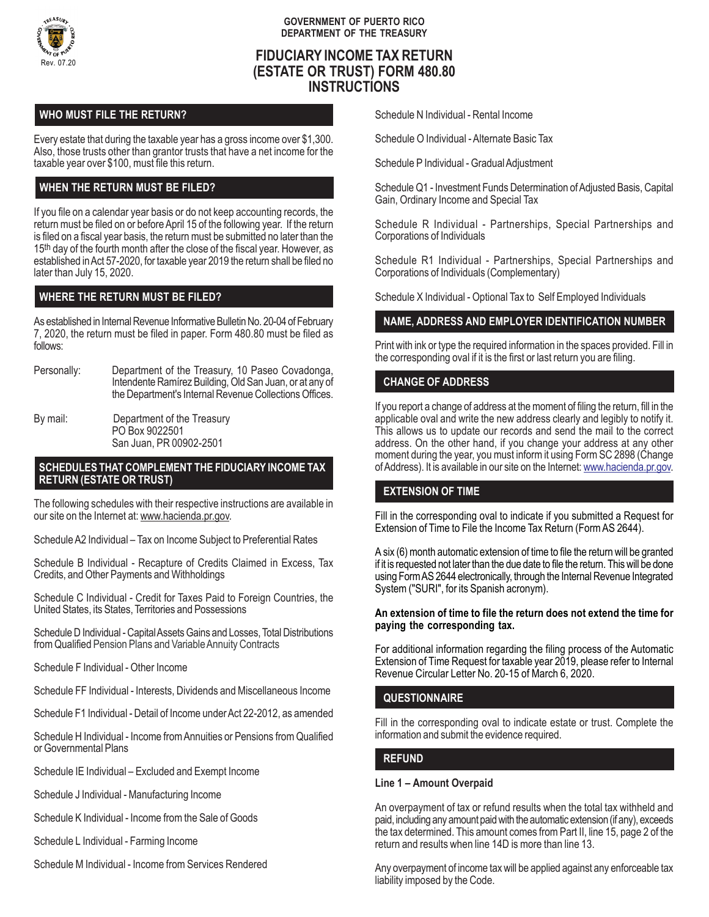

#### **GOVERNMENT OF PUERTO RICO DEPARTMENT OF THE TREASURY**

# **FIDUCIARY INCOME TAX RETURN (ESTATE OR TRUST) FORM 480.80 INSTRUCTIONS**

# **WHO MUST FILE THE RETURN?**

Every estate that during the taxable year has a gross income over \$1,300. Also, those trusts other than grantor trusts that have a net income for the taxable year over \$100, must file this return.

## **WHEN THE RETURN MUST BE FILED?**

If you file on a calendar year basis or do not keep accounting records, the return must be filed on or before April 15 of the following year. If the return is filed on a fiscal year basis, the return must be submitted no later than the 15<sup>th</sup> day of the fourth month after the close of the fiscal year. However, as established in Act 57-2020, for taxable year 2019 the return shall be filed no later than July 15, 2020.

## **WHERE THE RETURN MUST BE FILED?**

As established in Internal Revenue Informative Bulletin No. 20-04 of February 7, 2020, the return must be filed in paper. Form 480.80 must be filed as follows:

Personally: Department of the Treasury, 10 Paseo Covadonga, Intendente Ramírez Building, Old San Juan, or at any of the Department's Internal Revenue Collections Offices.

By mail: Department of the Treasury PO Box 9022501 San Juan, PR 00902-2501

#### **SCHEDULES THAT COMPLEMENT THE FIDUCIARY INCOME TAX RETURN (ESTATE OR TRUST)**

The following schedules with their respective instructions are available in our site on the Internet at: www.hacienda.pr.gov.

Schedule A2 Individual – Tax on Income Subject to Preferential Rates

Schedule B Individual - Recapture of Credits Claimed in Excess, Tax Credits, and Other Payments and Withholdings

Schedule C Individual - Credit for Taxes Paid to Foreign Countries, the United States, its States, Territories and Possessions

Schedule D Individual - Capital Assets Gains and Losses, Total Distributions from Qualified Pension Plans and Variable Annuity Contracts

Schedule F Individual - Other Income

Schedule FF Individual - Interests, Dividends and Miscellaneous Income

Schedule F1 Individual - Detail of Income under Act 22-2012, as amended

Schedule H Individual - Income from Annuities or Pensions from Qualified or Governmental Plans

Schedule IE Individual – Excluded and Exempt Income

Schedule J Individual - Manufacturing Income

Schedule K Individual - Income from the Sale of Goods

Schedule L Individual - Farming Income

Schedule M Individual - Income from Services Rendered

Schedule N Individual - Rental Income

Schedule O Individual - Alternate Basic Tax

Schedule P Individual - Gradual Adjustment

Schedule Q1 - Investment Funds Determination of Adjusted Basis, Capital Gain, Ordinary Income and Special Tax

Schedule R Individual - Partnerships, Special Partnerships and Corporations of Individuals

Schedule R1 Individual - Partnerships, Special Partnerships and Corporations of Individuals (Complementary)

Schedule X Individual - Optional Tax to Self Employed Individuals

## **NAME, ADDRESS AND EMPLOYER IDENTIFICATION NUMBER**

Print with ink or type the required information in the spaces provided. Fill in the corresponding oval if it is the first or last return you are filing.

## **CHANGE OF ADDRESS**

If you report a change of address at the moment of filing the return, fill in the applicable oval and write the new address clearly and legibly to notify it. This allows us to update our records and send the mail to the correct address. On the other hand, if you change your address at any other moment during the year, you must inform it using Form SC 2898 (Change of Address). It is available in our site on the Internet: www.hacienda.pr.gov.

## **EXTENSION OF TIME**

Fill in the corresponding oval to indicate if you submitted a Request for Extension of Time to File the Income Tax Return (Form AS 2644).

A six (6) month automatic extension of time to file the return will be granted if it is requested not later than the due date to file the return. This will be done using Form AS 2644 electronically, through the Internal Revenue Integrated System ("SURI", for its Spanish acronym).

#### **An extension of time to file the return does not extend the time for paying the corresponding tax.**

For additional information regarding the filing process of the Automatic Extension of Time Request for taxable year 2019, please refer to Internal Revenue Circular Letter No. 20-15 of March 6, 2020.

## **QUESTIONNAIRE**

Fill in the corresponding oval to indicate estate or trust. Complete the information and submit the evidence required.

## **REFUND**

## **Line 1 – Amount Overpaid**

An overpayment of tax or refund results when the total tax withheld and paid, including any amount paid with the automatic extension (if any), exceeds the tax determined. This amount comes from Part II, line 15, page 2 of the return and results when line 14D is more than line 13.

Any overpayment of income tax will be applied against any enforceable tax liability imposed by the Code.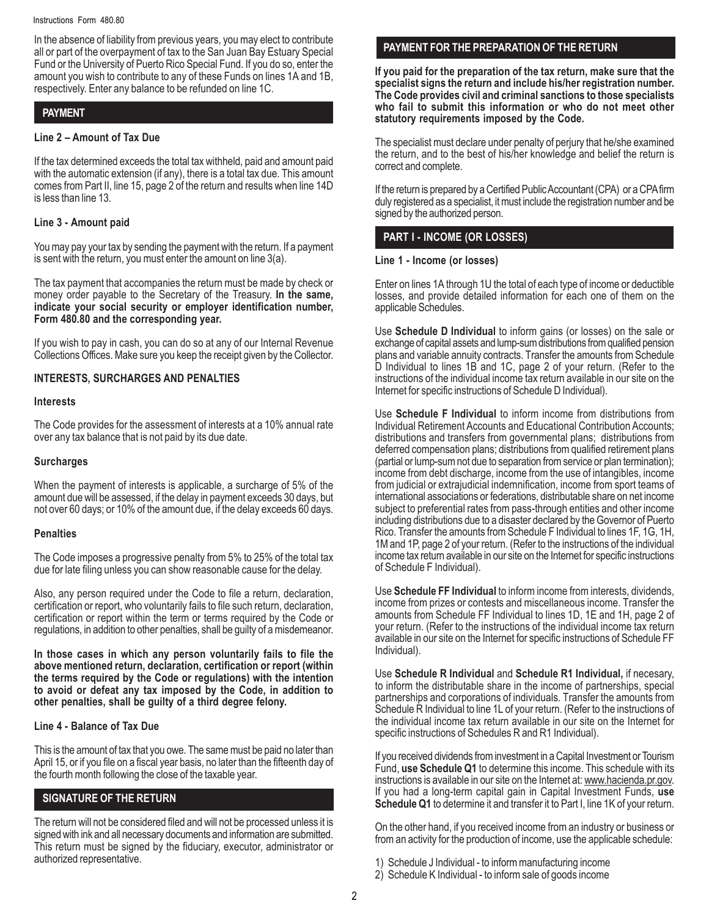In the absence of liability from previous years, you may elect to contribute all or part of the overpayment of tax to the San Juan Bay Estuary Special Fund or the University of Puerto Rico Special Fund. If you do so, enter the amount you wish to contribute to any of these Funds on lines 1A and 1B, respectively. Enter any balance to be refunded on line 1C.

## **PAYMENT**

## **Line 2 – Amount of Tax Due**

If the tax determined exceeds the total tax withheld, paid and amount paid with the automatic extension (if any), there is a total tax due. This amount comes from Part II, line 15, page 2 of the return and results when line 14D is less than line 13.

## **Line 3 - Amount paid**

You may pay your tax by sending the payment with the return. If a payment is sent with the return, you must enter the amount on line 3(a).

The tax payment that accompanies the return must be made by check or money order payable to the Secretary of the Treasury. **In the same, indicate your social security or employer identification number, Form 480.80 and the corresponding year.**

If you wish to pay in cash, you can do so at any of our Internal Revenue Collections Offices. Make sure you keep the receipt given by the Collector.

## **INTERESTS, SURCHARGES AND PENALTIES**

#### **Interests**

The Code provides for the assessment of interests at a 10% annual rate over any tax balance that is not paid by its due date.

## **Surcharges**

When the payment of interests is applicable, a surcharge of 5% of the amount due will be assessed, if the delay in payment exceeds 30 days, but not over 60 days; or 10% of the amount due, if the delay exceeds 60 days.

## **Penalties**

The Code imposes a progressive penalty from 5% to 25% of the total tax due for late filing unless you can show reasonable cause for the delay.

Also, any person required under the Code to file a return, declaration, certification or report, who voluntarily fails to file such return, declaration, certification or report within the term or terms required by the Code or regulations, in addition to other penalties, shall be guilty of a misdemeanor.

**In those cases in which any person voluntarily fails to file the above mentioned return, declaration, certification or report (within the terms required by the Code or regulations) with the intention to avoid or defeat any tax imposed by the Code, in addition to other penalties, shall be guilty of a third degree felony.**

## **Line 4 - Balance of Tax Due**

This is the amount of tax that you owe. The same must be paid no later than April 15, or if you file on a fiscal year basis, no later than the fifteenth day of the fourth month following the close of the taxable year.

## **SIGNATURE OF THE RETURN**

The return will not be considered filed and will not be processed unless it is signed with ink and all necessary documents and information are submitted. This return must be signed by the fiduciary, executor, administrator or authorized representative.

# **PAYMENT FOR THE PREPARATION OF THE RETURN**

**If you paid for the preparation of the tax return, make sure that the specialist signs the return and include his/her registration number. The Code provides civil and criminal sanctions to those specialists who fail to submit this information or who do not meet other statutory requirements imposed by the Code.**

The specialist must declare under penalty of perjury that he/she examined the return, and to the best of his/her knowledge and belief the return is correct and complete.

If the return is prepared by a Certified Public Accountant (CPA) or a CPA firm duly registered as a specialist, it must include the registration number and be signed by the authorized person.

## **PART I - INCOME (OR LOSSES)**

#### **Line 1 - Income (or losses)**

Enter on lines 1A through 1U the total of each type of income or deductible losses, and provide detailed information for each one of them on the applicable Schedules.

Use **Schedule D Individual** to inform gains (or losses) on the sale or exchange of capital assets and lump-sum distributions from qualified pension plans and variable annuity contracts. Transfer the amounts from Schedule D Individual to lines 1B and 1C, page 2 of your return. (Refer to the instructions of the individual income tax return available in our site on the Internet for specific instructions of Schedule D Individual).

Use **Schedule F Individual** to inform income from distributions from Individual Retirement Accounts and Educational Contribution Accounts; distributions and transfers from governmental plans; distributions from deferred compensation plans; distributions from qualified retirement plans (partial or lump-sum not due to separation from service or plan termination); income from debt discharge, income from the use of intangibles, income from judicial or extrajudicial indemnification, income from sport teams of international associations or federations, distributable share on net income subject to preferential rates from pass-through entities and other income including distributions due to a disaster declared by the Governor of Puerto Rico. Transfer the amounts from Schedule F Individual to lines 1F, 1G, 1H, 1M and 1P, page 2 of your return. (Refer to the instructions of the individual income tax return available in our site on the Internet for specific instructions of Schedule F Individual).

Use **Schedule FF Individual** to inform income from interests, dividends, income from prizes or contests and miscellaneous income. Transfer the amounts from Schedule FF Individual to lines 1D, 1E and 1H, page 2 of your return. (Refer to the instructions of the individual income tax return available in our site on the Internet for specific instructions of Schedule FF Individual).

Use **Schedule R Individual** and **Schedule R1 Individual,** if necesary, to inform the distributable share in the income of partnerships, special partnerships and corporations of individuals. Transfer the amounts from Schedule R Individual to line 1L of your return. (Refer to the instructions of the individual income tax return available in our site on the Internet for specific instructions of Schedules R and R1 Individual).

If you received dividends from investment in a Capital Investment or Tourism Fund, **use Schedule Q1** to determine this income. This schedule with its instructions is available in our site on the Internet at: www.hacienda.pr.gov. If you had a long-term capital gain in Capital Investment Funds, **use Schedule Q1** to determine it and transfer it to Part I, line 1K of your return.

On the other hand, if you received income from an industry or business or from an activity for the production of income, use the applicable schedule:

- 1) Schedule J Individual to inform manufacturing income
- 2) Schedule K Individual to inform sale of goods income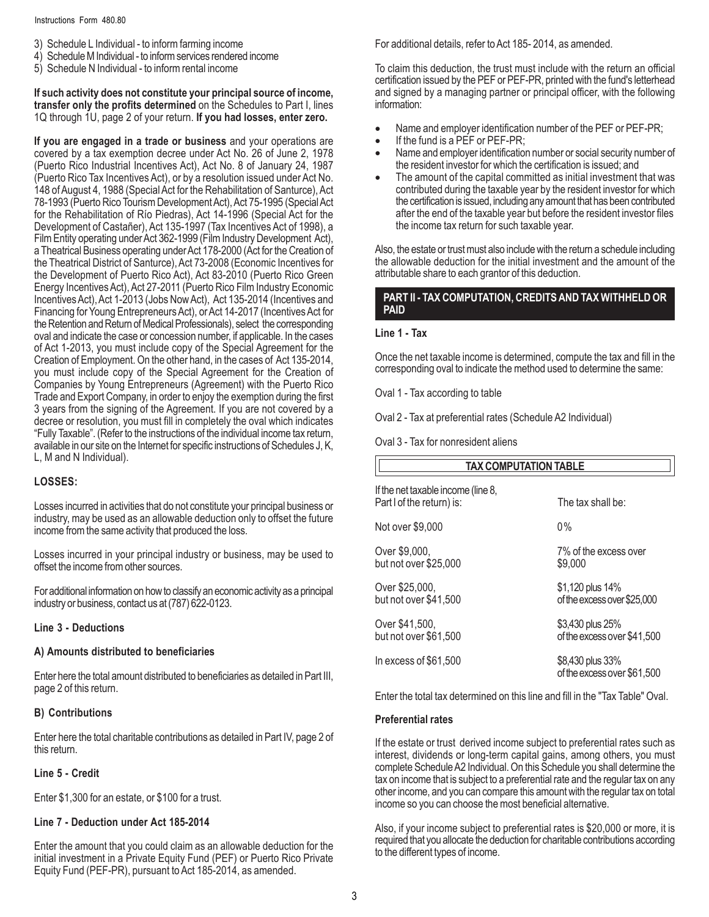- 3) Schedule L Individual to inform farming income
- 4) Schedule M Individual to inform services rendered income
- 5) Schedule N Individual to inform rental income

**If such activity does not constitute your principal source of income, transfer only the profits determined** on the Schedules to Part I, lines 1Q through 1U, page 2 of your return. **If you had losses, enter zero.**

**If you are engaged in a trade or business** and your operations are covered by a tax exemption decree under Act No. 26 of June 2, 1978 (Puerto Rico Industrial Incentives Act), Act No. 8 of January 24, 1987 (Puerto Rico Tax Incentives Act), or by a resolution issued under Act No. 148 of August 4, 1988 (Special Act for the Rehabilitation of Santurce), Act 78-1993 (Puerto Rico Tourism Development Act), Act 75-1995 (Special Act for the Rehabilitation of Río Piedras), Act 14-1996 (Special Act for the Development of Castañer), Act 135-1997 (Tax Incentives Act of 1998), a Film Entity operating under Act 362-1999 (Film Industry Development Act). a Theatrical Business operating under Act 178-2000 (Act for the Creation of the Theatrical District of Santurce), Act 73-2008 (Economic Incentives for the Development of Puerto Rico Act), Act 83-2010 (Puerto Rico Green Energy Incentives Act), Act 27-2011 (Puerto Rico Film Industry Economic Incentives Act), Act 1-2013 (Jobs Now Act), Act 135-2014 (Incentives and Financing for Young Entrepreneurs Act), or Act 14-2017 (Incentives Act for the Retention and Return of Medical Professionals), select the corresponding oval and indicate the case or concession number, if applicable. In the cases of Act 1-2013, you must include copy of the Special Agreement for the Creation of Employment. On the other hand, in the cases of Act 135-2014, you must include copy of the Special Agreement for the Creation of Companies by Young Entrepreneurs (Agreement) with the Puerto Rico Trade and Export Company, in order to enjoy the exemption during the first 3 years from the signing of the Agreement. If you are not covered by a decree or resolution, you must fill in completely the oval which indicates "Fully Taxable". (Refer to the instructions of the individual income tax return, available in our site on the Internet for specific instructions of Schedules J, K, L, M and N Individual).

## **LOSSES:**

Losses incurred in activities that do not constitute your principal business or industry, may be used as an allowable deduction only to offset the future income from the same activity that produced the loss.

Losses incurred in your principal industry or business, may be used to offset the income from other sources.

For additional information on how to classify an economic activity as a principal industry or business, contact us at (787) 622-0123.

#### **Line 3 - Deductions**

#### **A) Amounts distributed to beneficiaries**

Enter here the total amount distributed to beneficiaries as detailed in Part III, page 2 of this return.

### **B) Contributions**

Enter here the total charitable contributions as detailed in Part IV, page 2 of this return.

#### **Line 5 - Credit**

Enter \$1,300 for an estate, or \$100 for a trust.

#### **Line 7 - Deduction under Act 185-2014**

Enter the amount that you could claim as an allowable deduction for the initial investment in a Private Equity Fund (PEF) or Puerto Rico Private Equity Fund (PEF-PR), pursuant to Act 185-2014, as amended.

For additional details, refer to Act 185- 2014, as amended.

To claim this deduction, the trust must include with the return an official certification issued by the PEF or PEF-PR, printed with the fund's letterhead and signed by a managing partner or principal officer, with the following information:

- Name and employer identification number of the PEF or PEF-PR;
- If the fund is a PEF or PEF-PR;
- Name and employer identification number or social security number of the resident investor for which the certification is issued; and
- The amount of the capital committed as initial investment that was contributed during the taxable year by the resident investor for which the certification is issued, including any amount that has been contributed after the end of the taxable year but before the resident investor files the income tax return for such taxable year.

Also, the estate or trust must also include with the return a schedule including the allowable deduction for the initial investment and the amount of the attributable share to each grantor of this deduction.

#### **PART II - TAX COMPUTATION, CREDITS AND TAX WITHHELD OR PAID**

#### **Line 1 - Tax**

Once the net taxable income is determined, compute the tax and fill in the corresponding oval to indicate the method used to determine the same:

Oval 1 - Tax according to table

Oval 2 - Tax at preferential rates (Schedule A2 Individual)

Oval 3 - Tax for nonresident aliens

| <b>TAX COMPUTATION TABLE</b>                                    |                                                 |  |  |  |  |
|-----------------------------------------------------------------|-------------------------------------------------|--|--|--|--|
| If the net taxable income (line 8,<br>Part I of the return) is: | The tax shall be:                               |  |  |  |  |
| Not over \$9,000                                                | $0\%$                                           |  |  |  |  |
| Over \$9,000,<br>but not over \$25,000                          | 7% of the excess over<br>\$9,000                |  |  |  |  |
| Over \$25,000,<br>but not over \$41,500                         | \$1,120 plus 14%<br>of the excess over \$25,000 |  |  |  |  |
| Over \$41,500,<br>but not over \$61,500                         | \$3,430 plus 25%<br>of the excess over \$41,500 |  |  |  |  |
| In excess of \$61,500                                           | \$8,430 plus 33%<br>of the excess over \$61,500 |  |  |  |  |

Enter the total tax determined on this line and fill in the "Tax Table" Oval.

#### **Preferential rates**

If the estate or trust derived income subject to preferential rates such as interest, dividends or long-term capital gains, among others, you must complete Schedule A2 Individual. On this Schedule you shall determine the tax on income that is subject to a preferential rate and the regular tax on any other income, and you can compare this amount with the regular tax on total income so you can choose the most beneficial alternative.

Also, if your income subject to preferential rates is \$20,000 or more, it is required that you allocate the deduction for charitable contributions according to the different types of income.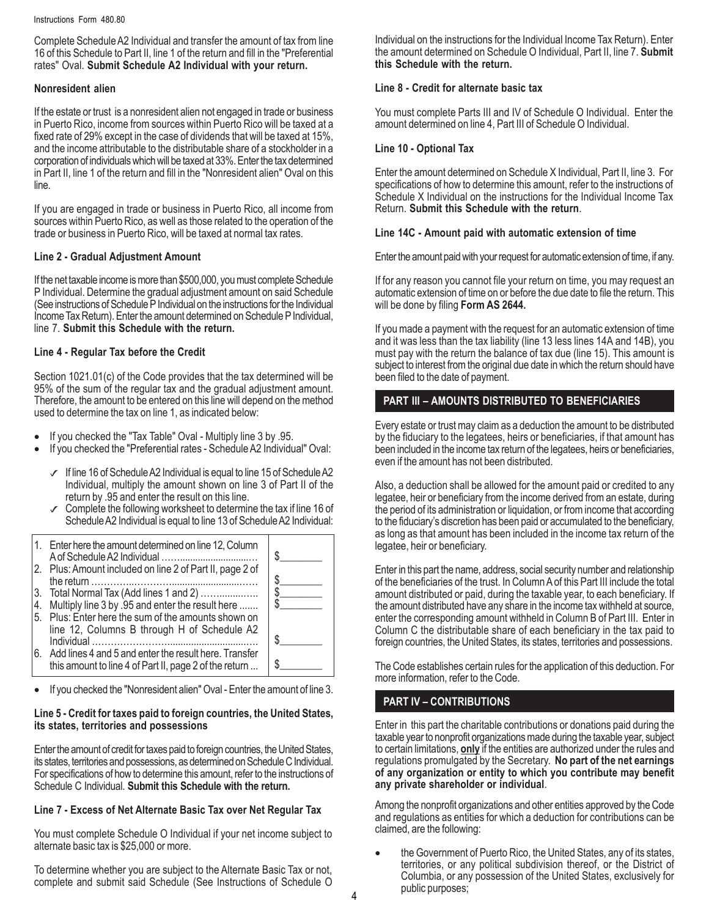Complete Schedule A2 Individual and transfer the amount of tax from line 16 of this Schedule to Part II, line 1 of the return and fill in the "Preferential rates" Oval. **Submit Schedule A2 Individual with your return.**

### **Nonresident alien**

If the estate or trust is a nonresident alien not engaged in trade or business in Puerto Rico, income from sources within Puerto Rico will be taxed at a fixed rate of 29% except in the case of dividends that will be taxed at 15%, and the income attributable to the distributable share of a stockholder in a corporation of individuals which will be taxed at 33%. Enter the tax determined in Part II, line 1 of the return and fill in the "Nonresident alien" Oval on this line.

If you are engaged in trade or business in Puerto Rico, all income from sources within Puerto Rico, as well as those related to the operation of the trade or business in Puerto Rico, will be taxed at normal tax rates.

#### **Line 2 - Gradual Adjustment Amount**

If the net taxable income is more than \$500,000, you must complete Schedule P Individual. Determine the gradual adjustment amount on said Schedule (See instructions of Schedule P Individual on the instructions for the Individual Income Tax Return). Enter the amount determined on Schedule P Individual, line 7. **Submit this Schedule with the return.**

#### **Line 4 - Regular Tax before the Credit**

Section 1021.01(c) of the Code provides that the tax determined will be 95% of the sum of the regular tax and the gradual adjustment amount. Therefore, the amount to be entered on this line will depend on the method used to determine the tax on line 1, as indicated below:

- If you checked the "Tax Table" Oval Multiply line 3 by .95.
- If you checked the "Preferential rates Schedule A2 Individual" Oval:
	- $\sqrt{ }$  If line 16 of Schedule A2 Individual is equal to line 15 of Schedule A2 Individual, multiply the amount shown on line 3 of Part II of the return by .95 and enter the result on this line.
	- $\chi$  Complete the following worksheet to determine the tax if line 16 of Schedule A2 Individual is equal to line 13 of Schedule A2 Individual:



• If you checked the "Nonresident alien" Oval - Enter the amount of line 3.

#### **Line 5 - Credit for taxes paid to foreign countries, the United States, its states, territories and possessions**

Enter the amount of credit for taxes paid to foreign countries, the United States, its states, territories and possessions, as determined on Schedule C Individual. For specifications of how to determine this amount, refer to the instructions of Schedule C Individual. **Submit this Schedule with the return.**

## **Line 7 - Excess of Net Alternate Basic Tax over Net Regular Tax**

You must complete Schedule O Individual if your net income subject to alternate basic tax is \$25,000 or more.

To determine whether you are subject to the Alternate Basic Tax or not, complete and submit said Schedule (See Instructions of Schedule O Individual on the instructions for the Individual Income Tax Return). Enter the amount determined on Schedule O Individual, Part II, line 7. **Submit this Schedule with the return.**

## **Line 8 - Credit for alternate basic tax**

You must complete Parts III and IV of Schedule O Individual. Enter the amount determined on line 4, Part III of Schedule O Individual.

### **Line 10 - Optional Tax**

Enter the amount determined on Schedule X Individual, Part II, line 3. For specifications of how to determine this amount, refer to the instructions of Schedule X Individual on the instructions for the Individual Income Tax Return. **Submit this Schedule with the return**.

#### **Line 14C - Amount paid with automatic extension of time**

Enter the amount paid with your request for automatic extension of time, if any.

If for any reason you cannot file your return on time, you may request an automatic extension of time on or before the due date to file the return. This will be done by filing **Form AS 2644.**

If you made a payment with the request for an automatic extension of time and it was less than the tax liability (line 13 less lines 14A and 14B), you must pay with the return the balance of tax due (line 15). This amount is subject to interest from the original due date in which the return should have been filed to the date of payment.

## **PART III – AMOUNTS DISTRIBUTED TO BENEFICIARIES**

Every estate or trust may claim as a deduction the amount to be distributed by the fiduciary to the legatees, heirs or beneficiaries, if that amount has been included in the income tax return of the legatees, heirs or beneficiaries, even if the amount has not been distributed.

Also, a deduction shall be allowed for the amount paid or credited to any legatee, heir or beneficiary from the income derived from an estate, during the period of its administration or liquidation, or from income that according to the fiduciary's discretion has been paid or accumulated to the beneficiary, as long as that amount has been included in the income tax return of the legatee, heir or beneficiary.

Enter in this part the name, address, social security number and relationship of the beneficiaries of the trust. In Column A of this Part III include the total amount distributed or paid, during the taxable year, to each beneficiary. If the amount distributed have any share in the income tax withheld at source, enter the corresponding amount withheld in Column B of Part III. Enter in Column C the distributable share of each beneficiary in the tax paid to foreign countries, the United States, its states, territories and possessions.

The Code establishes certain rules for the application of this deduction. For more information, refer to the Code.

## **PART IV – CONTRIBUTIONS**

Enter in this part the charitable contributions or donations paid during the taxable year to nonprofit organizations made during the taxable year, subject to certain limitations, **only** if the entities are authorized under the rules and regulations promulgated by the Secretary. **No part of the net earnings of any organization or entity to which you contribute may benefit any private shareholder or individual**.

Among the nonprofit organizations and other entities approved by the Code and regulations as entities for which a deduction for contributions can be claimed, are the following:

• the Government of Puerto Rico, the United States, any of its states, territories, or any political subdivision thereof, or the District of Columbia, or any possession of the United States, exclusively for public purposes;